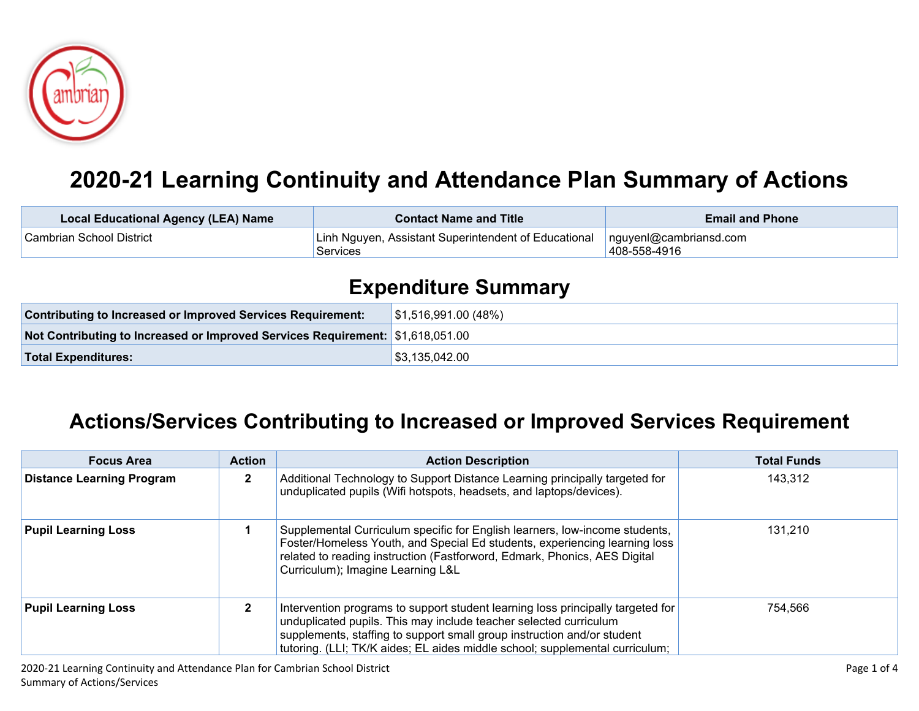

## **2020-21 Learning Continuity and Attendance Plan Summary of Actions**

| <b>Local Educational Agency (LEA) Name</b> | <b>Contact Name and Title</b>                                                                    | <b>Email and Phone</b> |
|--------------------------------------------|--------------------------------------------------------------------------------------------------|------------------------|
| l Cambrian School District                 | Linh Nguyen, Assistant Superintendent of Educational   nguyenl@cambriansd.com<br><b>Services</b> | 408-558-4916           |

## **Expenditure Summary**

| <b>Contributing to Increased or Improved Services Requirement:</b>             | $\vert$ \$1,516,991.00 (48%) |
|--------------------------------------------------------------------------------|------------------------------|
| Not Contributing to Increased or Improved Services Requirement: \$1,618,051.00 |                              |
| <b>Total Expenditures:</b>                                                     | \$3,135,042.00               |

## **Actions/Services Contributing to Increased or Improved Services Requirement**

| <b>Focus Area</b>                | <b>Action</b> | <b>Action Description</b>                                                                                                                                                                                                                                                                                       | <b>Total Funds</b> |
|----------------------------------|---------------|-----------------------------------------------------------------------------------------------------------------------------------------------------------------------------------------------------------------------------------------------------------------------------------------------------------------|--------------------|
| <b>Distance Learning Program</b> | 2             | Additional Technology to Support Distance Learning principally targeted for<br>unduplicated pupils (Wifi hotspots, headsets, and laptops/devices).                                                                                                                                                              | 143,312            |
| <b>Pupil Learning Loss</b>       |               | Supplemental Curriculum specific for English learners, low-income students,<br>Foster/Homeless Youth, and Special Ed students, experiencing learning loss<br>related to reading instruction (Fastforword, Edmark, Phonics, AES Digital<br>Curriculum); Imagine Learning L&L                                     | 131,210            |
| <b>Pupil Learning Loss</b>       | $\mathbf{2}$  | Intervention programs to support student learning loss principally targeted for<br>unduplicated pupils. This may include teacher selected curriculum<br>supplements, staffing to support small group instruction and/or student<br>tutoring. (LLI; TK/K aides; EL aides middle school; supplemental curriculum; | 754,566            |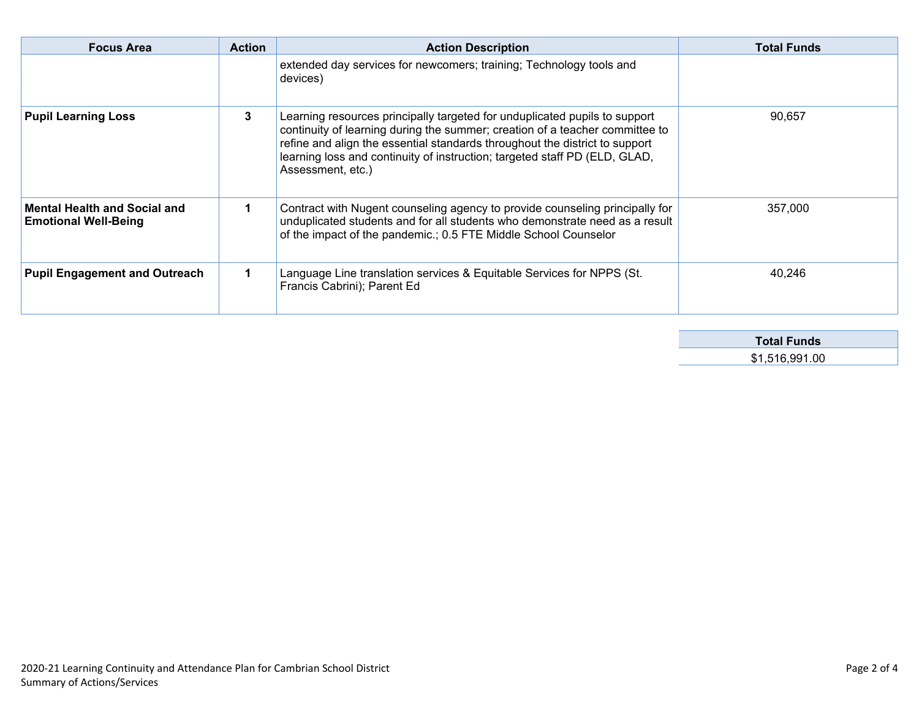| <b>Focus Area</b>                                                  | <b>Action</b> | <b>Action Description</b>                                                                                                                                                                                                                                                                                                                    | <b>Total Funds</b> |
|--------------------------------------------------------------------|---------------|----------------------------------------------------------------------------------------------------------------------------------------------------------------------------------------------------------------------------------------------------------------------------------------------------------------------------------------------|--------------------|
|                                                                    |               | extended day services for newcomers; training; Technology tools and<br>devices)                                                                                                                                                                                                                                                              |                    |
| <b>Pupil Learning Loss</b>                                         | 3             | Learning resources principally targeted for unduplicated pupils to support<br>continuity of learning during the summer; creation of a teacher committee to<br>refine and align the essential standards throughout the district to support<br>learning loss and continuity of instruction; targeted staff PD (ELD, GLAD,<br>Assessment, etc.) | 90.657             |
| <b>Mental Health and Social and</b><br><b>Emotional Well-Being</b> |               | Contract with Nugent counseling agency to provide counseling principally for<br>unduplicated students and for all students who demonstrate need as a result<br>of the impact of the pandemic.; 0.5 FTE Middle School Counselor                                                                                                               | 357,000            |
| <b>Pupil Engagement and Outreach</b>                               |               | Language Line translation services & Equitable Services for NPPS (St.<br>Francis Cabrini); Parent Ed                                                                                                                                                                                                                                         | 40.246             |

| <b>Total Funds</b> |  |
|--------------------|--|
| \$1,516,991.00     |  |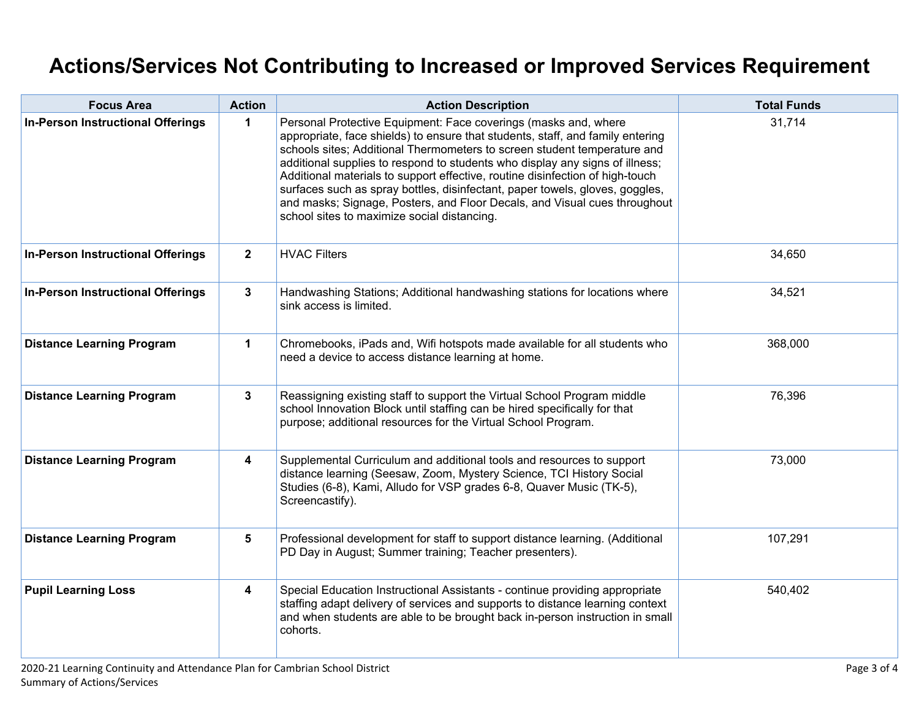## **Actions/Services Not Contributing to Increased or Improved Services Requirement**

| <b>Focus Area</b>                        | <b>Action</b>  | <b>Action Description</b>                                                                                                                                                                                                                                                                                                                                                                                                                                                                                                                                                                                  | <b>Total Funds</b> |
|------------------------------------------|----------------|------------------------------------------------------------------------------------------------------------------------------------------------------------------------------------------------------------------------------------------------------------------------------------------------------------------------------------------------------------------------------------------------------------------------------------------------------------------------------------------------------------------------------------------------------------------------------------------------------------|--------------------|
| <b>In-Person Instructional Offerings</b> | 1              | Personal Protective Equipment: Face coverings (masks and, where<br>appropriate, face shields) to ensure that students, staff, and family entering<br>schools sites; Additional Thermometers to screen student temperature and<br>additional supplies to respond to students who display any signs of illness;<br>Additional materials to support effective, routine disinfection of high-touch<br>surfaces such as spray bottles, disinfectant, paper towels, gloves, goggles,<br>and masks; Signage, Posters, and Floor Decals, and Visual cues throughout<br>school sites to maximize social distancing. | 31,714             |
| <b>In-Person Instructional Offerings</b> | $\mathbf{2}$   | <b>HVAC Filters</b>                                                                                                                                                                                                                                                                                                                                                                                                                                                                                                                                                                                        | 34,650             |
| <b>In-Person Instructional Offerings</b> | $\mathbf{3}$   | Handwashing Stations; Additional handwashing stations for locations where<br>sink access is limited.                                                                                                                                                                                                                                                                                                                                                                                                                                                                                                       | 34,521             |
| <b>Distance Learning Program</b>         | $\mathbf 1$    | Chromebooks, iPads and, Wifi hotspots made available for all students who<br>need a device to access distance learning at home.                                                                                                                                                                                                                                                                                                                                                                                                                                                                            | 368,000            |
| <b>Distance Learning Program</b>         | $\mathbf{3}$   | Reassigning existing staff to support the Virtual School Program middle<br>school Innovation Block until staffing can be hired specifically for that<br>purpose; additional resources for the Virtual School Program.                                                                                                                                                                                                                                                                                                                                                                                      | 76,396             |
| <b>Distance Learning Program</b>         | 4              | Supplemental Curriculum and additional tools and resources to support<br>distance learning (Seesaw, Zoom, Mystery Science, TCI History Social<br>Studies (6-8), Kami, Alludo for VSP grades 6-8, Quaver Music (TK-5),<br>Screencastify).                                                                                                                                                                                                                                                                                                                                                                   | 73,000             |
| <b>Distance Learning Program</b>         | $5\phantom{1}$ | Professional development for staff to support distance learning. (Additional<br>PD Day in August; Summer training; Teacher presenters).                                                                                                                                                                                                                                                                                                                                                                                                                                                                    | 107,291            |
| <b>Pupil Learning Loss</b>               | 4              | Special Education Instructional Assistants - continue providing appropriate<br>staffing adapt delivery of services and supports to distance learning context<br>and when students are able to be brought back in-person instruction in small<br>cohorts.                                                                                                                                                                                                                                                                                                                                                   | 540,402            |